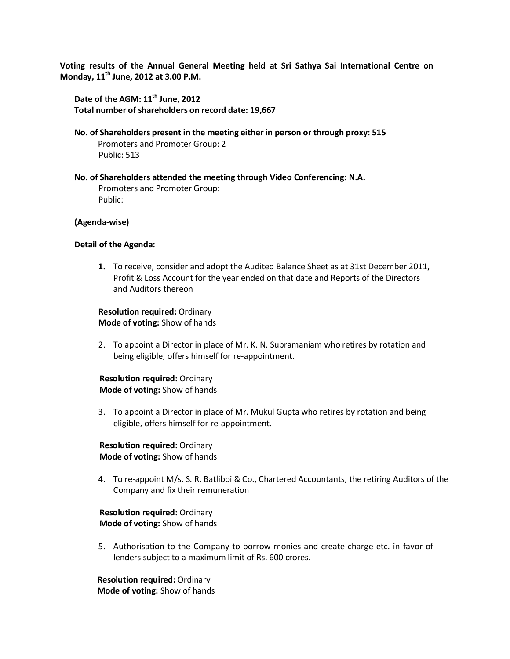**Voting results of the Annual General Meeting held at Sri Sathya Sai International Centre on Monday, 11th June, 2012 at 3.00 P.M.**

Date of the AGM:  $11<sup>th</sup>$  June, 2012 **Total number of shareholders on record date: 19,667**

- **No. of Shareholders present in the meeting either in person or through proxy: 515** Promoters and Promoter Group: 2 Public: 513
- **No. of Shareholders attended the meeting through Video Conferencing: N.A.** Promoters and Promoter Group: Public:

#### **(Agenda-wise)**

#### **Detail of the Agenda:**

**1.** To receive, consider and adopt the Audited Balance Sheet as at 31st December 2011, Profit & Loss Account for the year ended on that date and Reports of the Directors and Auditors thereon

**Resolution required:** Ordinary **Mode of voting:** Show of hands

2. To appoint a Director in place of Mr. K. N. Subramaniam who retires by rotation and being eligible, offers himself for re-appointment.

#### **Resolution required:** Ordinary  **Mode of voting:** Show of hands

3. To appoint a Director in place of Mr. Mukul Gupta who retires by rotation and being eligible, offers himself for re-appointment.

## **Resolution required:** Ordinary  **Mode of voting:** Show of hands

4. To re-appoint M/s. S. R. Batliboi & Co., Chartered Accountants, the retiring Auditors of the Company and fix their remuneration

## **Resolution required:** Ordinary  **Mode of voting:** Show of hands

5. Authorisation to the Company to borrow monies and create charge etc. in favor of lenders subject to a maximum limit of Rs. 600 crores.

 **Resolution required:** Ordinary  **Mode of voting:** Show of hands